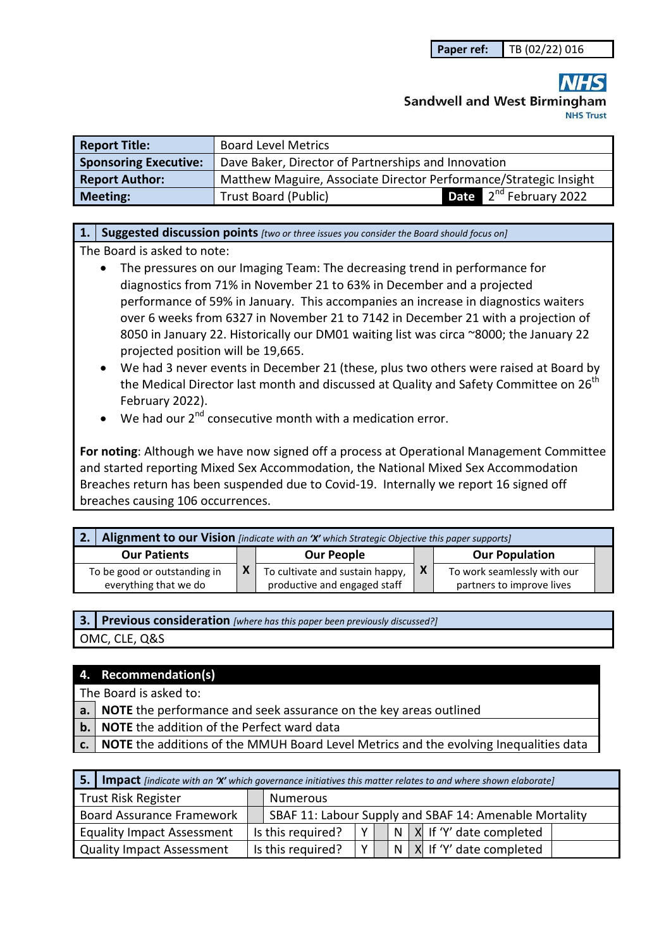# **Sandwell and West Birmingham NHS Trust**

| <b>Report Title:</b>         | <b>Board Level Metrics</b>                                        |  |                                    |  |
|------------------------------|-------------------------------------------------------------------|--|------------------------------------|--|
| <b>Sponsoring Executive:</b> | Dave Baker, Director of Partnerships and Innovation               |  |                                    |  |
| <b>Report Author:</b>        | Matthew Maguire, Associate Director Performance/Strategic Insight |  |                                    |  |
| <b>Meeting:</b>              | <b>Trust Board (Public)</b>                                       |  | <b>Date</b> $2^{nd}$ February 2022 |  |

### **1. Suggested discussion points** *[two or three issues you consider the Board should focus on]*

The Board is asked to note:

- The pressures on our Imaging Team: The decreasing trend in performance for diagnostics from 71% in November 21 to 63% in December and a projected performance of 59% in January. This accompanies an increase in diagnostics waiters over 6 weeks from 6327 in November 21 to 7142 in December 21 with a projection of 8050 in January 22. Historically our DM01 waiting list was circa ~8000; the January 22 projected position will be 19,665.
- We had 3 never events in December 21 (these, plus two others were raised at Board by the Medical Director last month and discussed at Quality and Safety Committee on 26<sup>th</sup> February 2022).
- $\bullet$  We had our 2<sup>nd</sup> consecutive month with a medication error.

**For noting**: Although we have now signed off a process at Operational Management Committee and started reporting Mixed Sex Accommodation, the National Mixed Sex Accommodation Breaches return has been suspended due to Covid-19. Internally we report 16 signed off breaches causing 106 occurrences.

|                     | Alignment to our Vision [indicate with an 'X' which Strategic Objective this paper supports] |                   |                                                                 |              |                                                          |  |  |
|---------------------|----------------------------------------------------------------------------------------------|-------------------|-----------------------------------------------------------------|--------------|----------------------------------------------------------|--|--|
| <b>Our Patients</b> |                                                                                              | <b>Our People</b> |                                                                 |              | <b>Our Population</b>                                    |  |  |
|                     | To be good or outstanding in<br>everything that we do                                        |                   | To cultivate and sustain happy,<br>productive and engaged staff | $\mathbf{x}$ | To work seamlessly with our<br>partners to improve lives |  |  |

| 3. Previous consideration [where has this paper been previously discussed?] |
|-----------------------------------------------------------------------------|
| OMC, CLE, Q&S                                                               |

### **4. Recommendation(s)**

The Board is asked to:

- **a. NOTE** the performance and seek assurance on the key areas outlined
- **b. NOTE** the addition of the Perfect ward data
- **c. NOTE** the additions of the MMUH Board Level Metrics and the evolving Inequalities data

| 5.1                               | <b>Impact</b> [indicate with an 'X' which governance initiatives this matter relates to and where shown elaborate] |  |                                                        |                |  |  |  |                               |
|-----------------------------------|--------------------------------------------------------------------------------------------------------------------|--|--------------------------------------------------------|----------------|--|--|--|-------------------------------|
|                                   | <b>Trust Risk Register</b>                                                                                         |  | <b>Numerous</b>                                        |                |  |  |  |                               |
|                                   | <b>Board Assurance Framework</b>                                                                                   |  | SBAF 11: Labour Supply and SBAF 14: Amenable Mortality |                |  |  |  |                               |
| <b>Equality Impact Assessment</b> |                                                                                                                    |  | Is this required?                                      | Y <sub>1</sub> |  |  |  | N   X   If 'Y' date completed |
| <b>Quality Impact Assessment</b>  |                                                                                                                    |  | Is this required?                                      | Y <sub>1</sub> |  |  |  | $ N X $ If 'Y' date completed |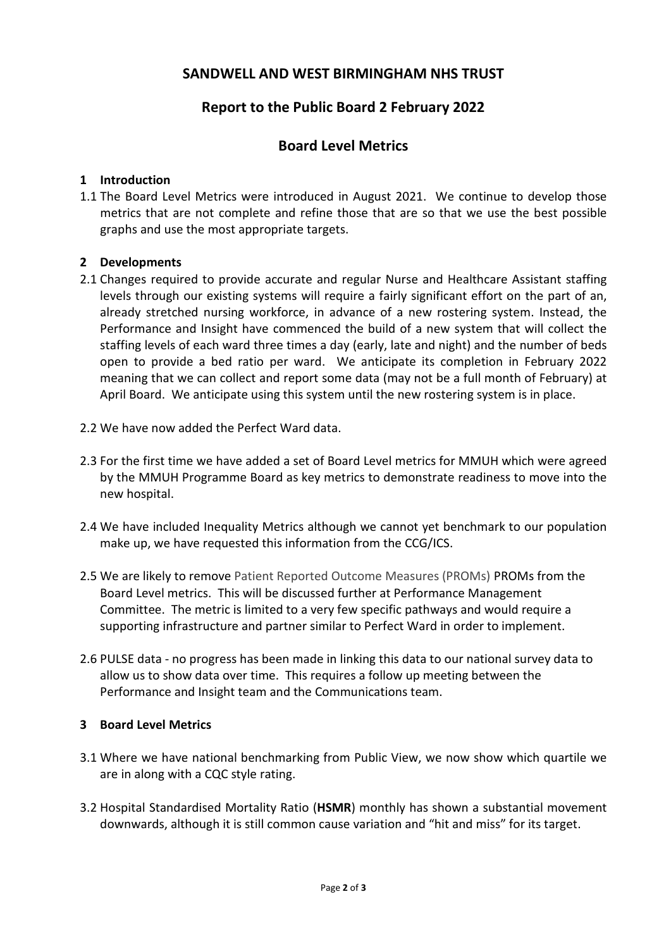## **SANDWELL AND WEST BIRMINGHAM NHS TRUST**

## **Report to the Public Board 2 February 2022**

## **Board Level Metrics**

#### **1 Introduction**

1.1 The Board Level Metrics were introduced in August 2021. We continue to develop those metrics that are not complete and refine those that are so that we use the best possible graphs and use the most appropriate targets.

#### **2 Developments**

- 2.1 Changes required to provide accurate and regular Nurse and Healthcare Assistant staffing levels through our existing systems will require a fairly significant effort on the part of an, already stretched nursing workforce, in advance of a new rostering system. Instead, the Performance and Insight have commenced the build of a new system that will collect the staffing levels of each ward three times a day (early, late and night) and the number of beds open to provide a bed ratio per ward. We anticipate its completion in February 2022 meaning that we can collect and report some data (may not be a full month of February) at April Board. We anticipate using this system until the new rostering system is in place.
- 2.2 We have now added the Perfect Ward data.
- 2.3 For the first time we have added a set of Board Level metrics for MMUH which were agreed by the MMUH Programme Board as key metrics to demonstrate readiness to move into the new hospital.
- 2.4 We have included Inequality Metrics although we cannot yet benchmark to our population make up, we have requested this information from the CCG/ICS.
- 2.5 We are likely to remove Patient Reported Outcome Measures (PROMs) PROMs from the Board Level metrics. This will be discussed further at Performance Management Committee. The metric is limited to a very few specific pathways and would require a supporting infrastructure and partner similar to Perfect Ward in order to implement.
- 2.6 PULSE data no progress has been made in linking this data to our national survey data to allow us to show data over time. This requires a follow up meeting between the Performance and Insight team and the Communications team.

#### **3 Board Level Metrics**

- 3.1 Where we have national benchmarking from Public View, we now show which quartile we are in along with a CQC style rating.
- 3.2 Hospital Standardised Mortality Ratio (**HSMR**) monthly has shown a substantial movement downwards, although it is still common cause variation and "hit and miss" for its target.